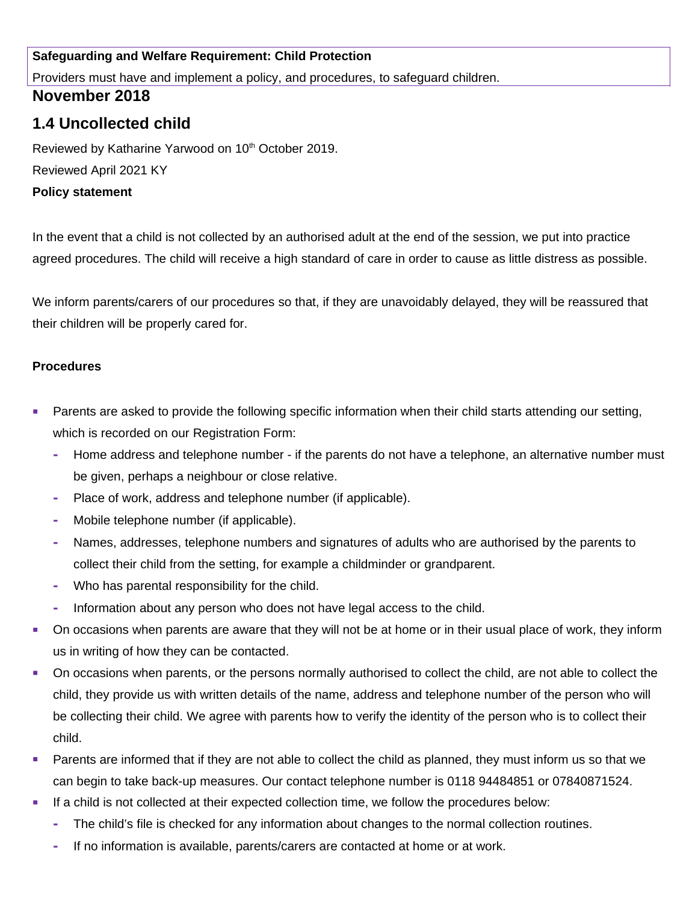### **Safeguarding and Welfare Requirement: Child Protection**

Providers must have and implement a policy, and procedures, to safeguard children.

### **November 2018**

# **1.4 Uncollected child**

Reviewed by Katharine Yarwood on 10<sup>th</sup> October 2019. Reviewed April 2021 KY **Policy statement**

In the event that a child is not collected by an authorised adult at the end of the session, we put into practice agreed procedures. The child will receive a high standard of care in order to cause as little distress as possible.

We inform parents/carers of our procedures so that, if they are unavoidably delayed, they will be reassured that their children will be properly cared for.

#### **Procedures**

- **Parents are asked to provide the following specific information when their child starts attending our setting,** which is recorded on our Registration Form:
	- **-** Home address and telephone number if the parents do not have a telephone, an alternative number must be given, perhaps a neighbour or close relative.
	- **-** Place of work, address and telephone number (if applicable).
	- **-** Mobile telephone number (if applicable).
	- **-** Names, addresses, telephone numbers and signatures of adults who are authorised by the parents to collect their child from the setting, for example a childminder or grandparent.
	- **-** Who has parental responsibility for the child.
	- **-** Information about any person who does not have legal access to the child.
- On occasions when parents are aware that they will not be at home or in their usual place of work, they inform us in writing of how they can be contacted.
- On occasions when parents, or the persons normally authorised to collect the child, are not able to collect the child, they provide us with written details of the name, address and telephone number of the person who will be collecting their child. We agree with parents how to verify the identity of the person who is to collect their child.
- **Parents are informed that if they are not able to collect the child as planned, they must inform us so that we** can begin to take back-up measures. Our contact telephone number is 0118 94484851 or 07840871524.
- If a child is not collected at their expected collection time, we follow the procedures below:
	- **-** The child's file is checked for any information about changes to the normal collection routines.
	- **-** If no information is available, parents/carers are contacted at home or at work.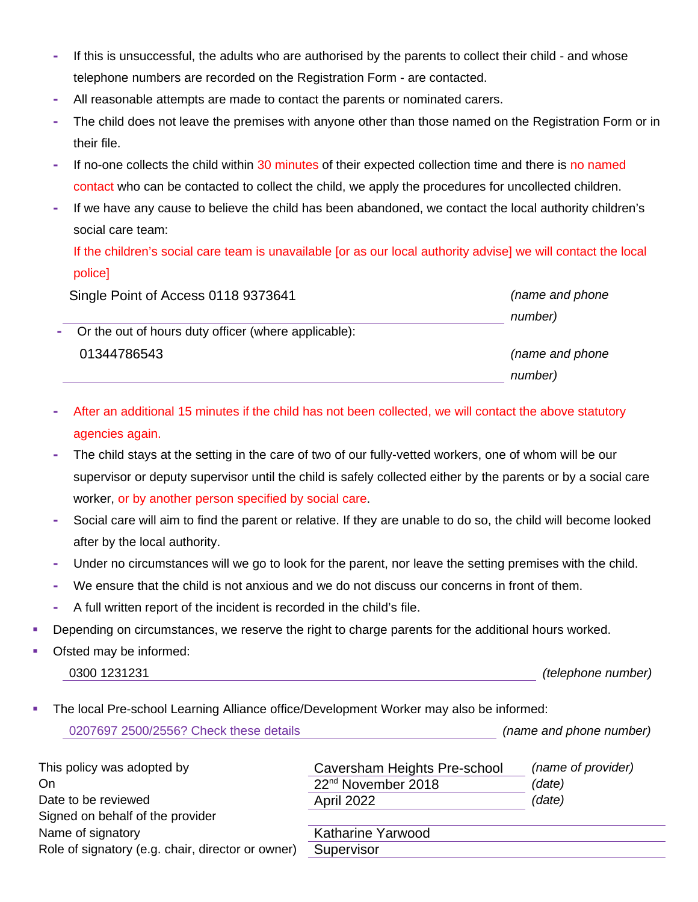- **-** If this is unsuccessful, the adults who are authorised by the parents to collect their child and whose telephone numbers are recorded on the Registration Form - are contacted.
- **-** All reasonable attempts are made to contact the parents or nominated carers.
- **-** The child does not leave the premises with anyone other than those named on the Registration Form or in their file.
- **-** If no-one collects the child within 30 minutes of their expected collection time and there is no named contact who can be contacted to collect the child, we apply the procedures for uncollected children.
- **-** If we have any cause to believe the child has been abandoned, we contact the local authority children's social care team:

If the children's social care team is unavailable [or as our local authority advise] we will contact the local police]

| Single Point of Access 0118 9373641                    | (name and phone |
|--------------------------------------------------------|-----------------|
|                                                        | number)         |
| - Or the out of hours duty officer (where applicable): |                 |
| 01344786543                                            | (name and phone |
|                                                        | number)         |

- **-** After an additional 15 minutes if the child has not been collected, we will contact the above statutory agencies again.
- **-** The child stays at the setting in the care of two of our fully-vetted workers, one of whom will be our supervisor or deputy supervisor until the child is safely collected either by the parents or by a social care worker, or by another person specified by social care.
- **-** Social care will aim to find the parent or relative. If they are unable to do so, the child will become looked after by the local authority.
- **-** Under no circumstances will we go to look for the parent, nor leave the setting premises with the child.
- **-** We ensure that the child is not anxious and we do not discuss our concerns in front of them.
- **-** A full written report of the incident is recorded in the child's file.
- Depending on circumstances, we reserve the right to charge parents for the additional hours worked.
- Ofsted may be informed:

0300 1231231 *(telephone number)*

**The local Pre-school Learning Alliance office/Development Worker may also be informed:** 

| This policy was adopted by                        | Caversham Heights Pre-school   | (name of provider) |
|---------------------------------------------------|--------------------------------|--------------------|
| On.                                               | 22 <sup>nd</sup> November 2018 | (date)             |
| Date to be reviewed                               | <b>April 2022</b>              | (date)             |
| Signed on behalf of the provider                  |                                |                    |
| Name of signatory                                 | Katharine Yarwood              |                    |
| Role of signatory (e.g. chair, director or owner) | Supervisor                     |                    |